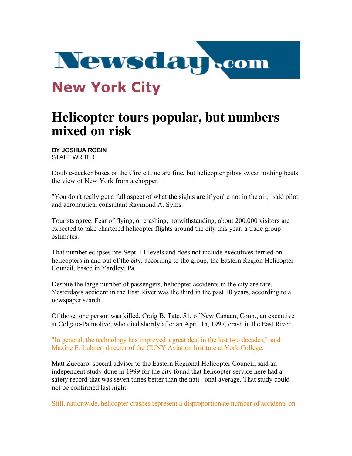

## **Helicopter tours popular, but numbers mixed on risk**

**BY JOSHUA ROBIN** STAFF WRITER

Double-decker buses or the Circle Line are fine, but helicopter pilots swear nothing beats the view of New York from a chopper.

"You don't really get a full aspect of what the sights are if you're not in the air," said pilot and aeronautical consultant Raymond A. Syms.

Tourists agree. Fear of flying, or crashing, notwithstanding, about 200,000 visitors are expected to take chartered helicopter flights around the city this year, a trade group estimates.

That number eclipses pre-Sept. 11 levels and does not include executives ferried on helicopters in and out of the city, according to the group, the Eastern Region Helicopter Council, based in Yardley, Pa.

Despite the large number of passengers, helicopter accidents in the city are rare. Yesterday's accident in the East River was the third in the past 10 years, according to a newspaper search.

Of those, one person was killed, Craig B. Tate, 51, of New Canaan, Conn., an executive at Colgate-Palmolive, who died shortly after an April 15, 1997, crash in the East River.

"In general, the technology has improved a great deal in the last two decades," said Maxine E. Lubner, director of the CUNY Aviation Institute at York College.

Matt Zuccaro, special adviser to the Eastern Regional Helicopter Council, said an independent study done in 1999 for the city found that helicopter service here had a safety record that was seven times better than the nati onal average. That study could not be confirmed last night.

Still, nationwide, helicopter crashes represent a disproportionate number of accidents on